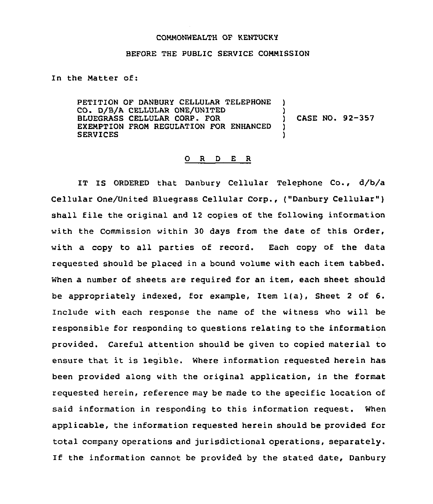## COMMONWEALTH OF KENTUCKY

## BEFORE THE PUBLIC SERVICE COMMISSION

In the Matter of:

PETITION OF DANBURY CELLULAR TELEPHONE CO. D/B/A CELLULAR ONE/UNITED ()<br>BLUEGRASS CELLULAR CORP. FOR () BLUEGRASS CELLULAR CORP. FOR ) EXEMPTION FROM REGULATION FOR ENHANCED **SERVICES** CASE NO. 92-357

## 0 <sup>R</sup> <sup>D</sup> E <sup>R</sup>

IT IS ORDERED that Danbury Cellular Telephone Co., d/b/a Cellular One/United Bluegrass Cellular Corp., ("Danbury Cellular" ) shall file the original and 12 copies of the following information with the Commission within 30 days from the date of this Order, with a copy to all parties of record. Each copy of the data requested should be placed in a bound volume with each item tabbed. When a number of sheets are required for an item, each sheet should be appropriately indexed, for example, Item 1(a), Sheet <sup>2</sup> of 6. Include with each response the name of the witness who will be responsible for responding to questions relating to the information provided. Careful attention should be given to copied material to ensure that it is legible. Where information requested herein has been provided along with the original application, in the format requested herein, reference may be made to the specific location of said information in responding to this information request. When applicable, the information requested herein should be provided for total company operations and jurisdictional operations, separately. If the information cannot be provided by the stated date, Danbury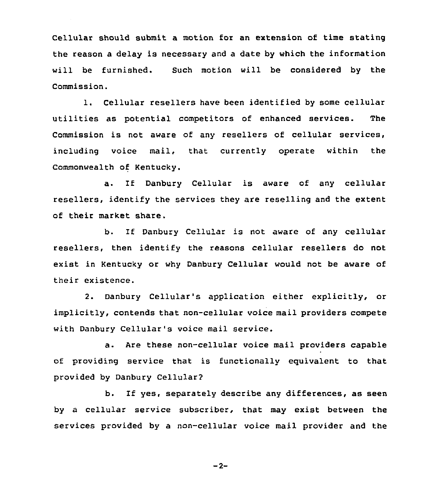Cellular should submit a motion for an extension of time stating the reason a delay is necessary and a date by which the information will be furnished. Such motion will be considered by the Commission.

1. Cellular resellers have been identified by some cellular utilities as potential competitors of enhanced services. The Commission is not aware of any resellers of cellular services, including voice mail, that currently operate within the Commonwealth of Kentucky.

a. If Danbury Cellular is aware of any cellular resellers, identify the services they are reselling and the extent of their market share.

b. If Danbury Cellular is not aware of any cellular resellers, then identify the reasons cellular resellers do not exist in Kentucky or why Danbury Cellular would not be aware of their existence.

2. Danbury Cellular's application either explicitly, or implicitly, contends that non-cellular voice mail providers compete with Danbury Cellular's voice mail service.

a. Are these non-cellular voice mail providers capable of providing service that is functionally equivalent to that provided by Danbury Cellularg

b. If yes, separately describe any differences, as seen by a cellular service subscriber, that may exist between the services provided by a non-cellular voice mail provider and the

 $-2-$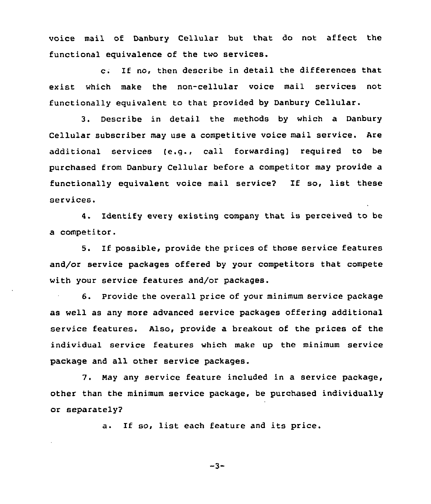voice mail of Danbury Cellular but that do not affect the functional equivalence of the two services.

c. If no, then describe in detail the differences that exist which make the non-cellular voice mail services not functionally equivalent to that provided by Danbury Cellular.

3. Describe in detail the methods by which a Danbury Cellular subscriber may use a competitive voice mail service. Are additional services (e.g., call forwarding) required to be purchased from Danbury Cellular before a competitor may provide a functionally equivalent voice mail service2 If so, list these services.

4. Identify every existing company that is perceived to be a competitor.

5. If possible, provide the prices of those service features and/or service packages offered by your competitors that compete with your service features and/or packages.

6. Provide the overall price of your minimum service package as well as any more advanced service packages offering additional service features. Also, provide a breakout of the prices of the individual service features which make up the minimum service package and all other service packages.

7. May any service feature included in a service package, other than the minimum service package, be purchased individually or separately2

a. If so, list each feature and its price.

 $-3-$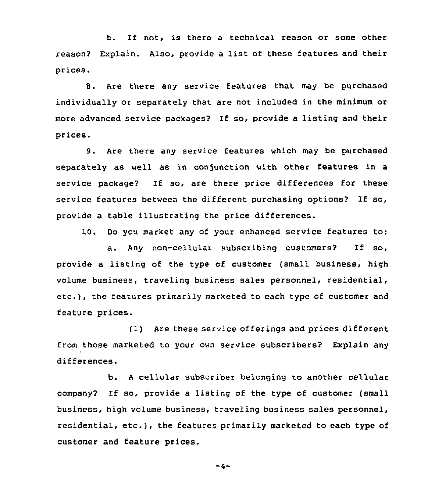b. If not, is there <sup>a</sup> technical reason or some other reason? Explain. Also, provide <sup>a</sup> list of these features and their prices.

8. Are there any service features that may be purchased individually or separately that are not included in the minimum or more advanced service packages? If so, provide a listing and their prices.

9. Are there any service features which may be purchased separately as well as in conjunction with other features in a service package'? If so, are there price differences for these service features between the different purchasing options? If so, provide a table illustrating the price differences.

10. Do you market any of your enhanced service features to:

a. Any non-cellular subscribing customers? If so, provide a listing of the type of customer (small business, high volume business, traveling business sales personnel, residential, etc.), the features primarily marketed to each type of customer and feature prices.

(1) Are these service offerings and prices different from those marketed to your own service subscribers? Explain any differences.

b. <sup>A</sup> cellular subscriber belonging to another cellular company? If so, provide <sup>a</sup> listing of the type of customer (small business, high volume business, traveling business sales personnel, residential, etc.), the features primarily marketed to each type of customer and feature prices.

 $-4-$